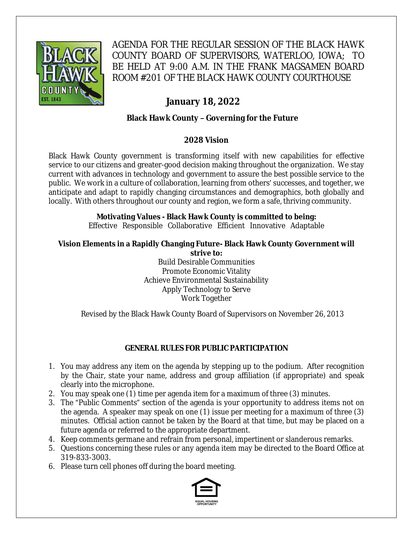

AGENDA FOR THE REGULAR SESSION OF THE BLACK HAWK COUNTY BOARD OF SUPERVISORS, WATERLOO, IOWA; TO BE HELD AT 9:00 A.M. IN THE FRANK MAGSAMEN BOARD ROOM #201 OF THE BLACK HAWK COUNTY COURTHOUSE

# **January 18, 2022**

# **Black Hawk County – Governing for the Future**

# **2028 Vision**

Black Hawk County government is transforming itself with new capabilities for effective service to our citizens and greater-good decision making throughout the organization. We stay current with advances in technology and government to assure the best possible service to the public. We work in a culture of collaboration, learning from others' successes, and together, we anticipate and adapt to rapidly changing circumstances and demographics, both globally and locally. With others throughout our county and region, we form a safe, thriving community.

# **Motivating Values - Black Hawk County is committed to being:**

Effective Responsible Collaborative Efficient Innovative Adaptable

#### **Vision Elements in a Rapidly Changing Future- Black Hawk County Government will strive to:**

Build Desirable Communities Promote Economic Vitality Achieve Environmental Sustainability Apply Technology to Serve Work Together

Revised by the Black Hawk County Board of Supervisors on November 26, 2013

# **GENERAL RULES FOR PUBLIC PARTICIPATION**

- 1. You may address any item on the agenda by stepping up to the podium. After recognition by the Chair, state your name, address and group affiliation (if appropriate) and speak clearly into the microphone.
- 2. You may speak one (1) time per agenda item for a maximum of three (3) minutes.
- 3. The "Public Comments" section of the agenda is your opportunity to address items not on the agenda. A speaker may speak on one (1) issue per meeting for a maximum of three (3) minutes. Official action cannot be taken by the Board at that time, but may be placed on a future agenda or referred to the appropriate department.
- 4. Keep comments germane and refrain from personal, impertinent or slanderous remarks.
- 5. Questions concerning these rules or any agenda item may be directed to the Board Office at 319-833-3003.
- 6. Please turn cell phones off during the board meeting.

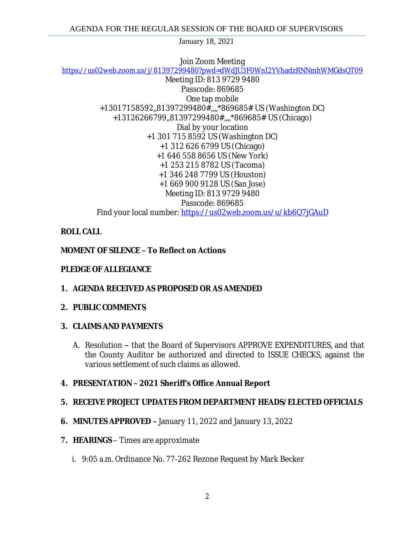Join Zoom Meeting <https://us02web.zoom.us/j/81397299480?pwd=dWdJU3F0WnI2YVhadzRNNmhWMGdsQT09> Meeting ID: 813 9729 9480 Passcode: 869685 One tap mobile +13017158592,,81397299480#,,,,\*869685# US (Washington DC) +13126266799,,81397299480#,,,,\*869685# US (Chicago) Dial by your location +1 301 715 8592 US (Washington DC) +1 312 626 6799 US (Chicago) +1 646 558 8656 US (New York) +1 253 215 8782 US (Tacoma) +1 346 248 7799 US (Houston) +1 669 900 9128 US (San Jose) Meeting ID: 813 9729 9480 Passcode: 869685 Find your local number: <https://us02web.zoom.us/u/kb6Q7jGAuD>

# **ROLL CALL**

# **MOMENT OF SILENCE – To Reflect on Actions**

### **PLEDGE OF ALLEGIANCE**

**1. AGENDA RECEIVED AS PROPOSED OR AS AMENDED**

#### **2. PUBLIC COMMENTS**

#### **3. CLAIMS AND PAYMENTS**

A. Resolution **–** that the Board of Supervisors APPROVE EXPENDITURES, and that the County Auditor be authorized and directed to ISSUE CHECKS, against the various settlement of such claims as allowed.

# **4. PRESENTATION – 2021 Sheriff's Office Annual Report**

# **5. RECEIVE PROJECT UPDATES FROM DEPARTMENT HEADS/ELECTED OFFICIALS**

- **6. MINUTES APPROVED –** January 11, 2022 and January 13, 2022
- **7. HEARINGS**  Times are approximate
	- i. 9:05 a.m. Ordinance No. 77-262 Rezone Request by Mark Becker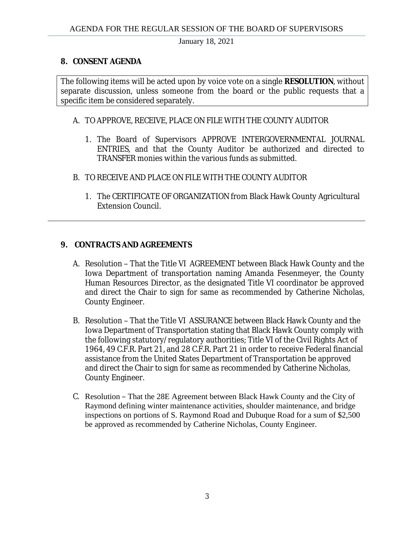### **8. CONSENT AGENDA**

The following items will be acted upon by voice vote on a single **RESOLUTION**, without separate discussion, unless someone from the board or the public requests that a specific item be considered separately.

### A. TO APPROVE, RECEIVE, PLACE ON FILE WITH THE COUNTY AUDITOR

- 1. The Board of Supervisors APPROVE INTERGOVERNMENTAL JOURNAL ENTRIES, and that the County Auditor be authorized and directed to TRANSFER monies within the various funds as submitted.
- B. TO RECEIVE AND PLACE ON FILE WITH THE COUNTY AUDITOR
	- 1. The CERTIFICATE OF ORGANIZATION from Black Hawk County Agricultural Extension Council.

# **9. CONTRACTS AND AGREEMENTS**

- A. Resolution That the Title VI AGREEMENT between Black Hawk County and the Iowa Department of transportation naming Amanda Fesenmeyer, the County Human Resources Director, as the designated Title VI coordinator be approved and direct the Chair to sign for same as recommended by Catherine Nicholas, County Engineer.
- B. Resolution That the Title VI ASSURANCE between Black Hawk County and the Iowa Department of Transportation stating that Black Hawk County comply with the following statutory/regulatory authorities; Title VI of the Civil Rights Act of 1964, 49 C.F.R. Part 21, and 28 C.F.R. Part 21 in order to receive Federal financial assistance from the United States Department of Transportation be approved and direct the Chair to sign for same as recommended by Catherine Nicholas, County Engineer.
- C. Resolution That the 28E Agreement between Black Hawk County and the City of Raymond defining winter maintenance activities, shoulder maintenance, and bridge inspections on portions of S. Raymond Road and Dubuque Road for a sum of \$2,500 be approved as recommended by Catherine Nicholas, County Engineer.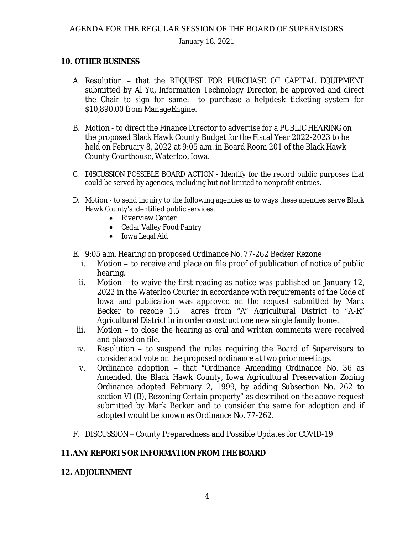#### **10. OTHER BUSINESS**

- A. Resolution that the REQUEST FOR PURCHASE OF CAPITAL EQUIPMENT submitted by Al Yu, Information Technology Director, be approved and direct the Chair to sign for same: to purchase a helpdesk ticketing system for \$10,890.00 from ManageEngine.
- B. Motion to direct the Finance Director to advertise for a PUBLIC HEARING on the proposed Black Hawk County Budget for the Fiscal Year 2022-2023 to be held on February 8, 2022 at 9:05 a.m. in Board Room 201 of the Black Hawk County Courthouse, Waterloo, Iowa.
- C. DISCUSSION POSSIBLE BOARD ACTION Identify for the record public purposes that could be served by agencies, including but not limited to nonprofit entities.
- D. Motion to send inquiry to the following agencies as to ways these agencies serve Black Hawk County's identified public services.
	- Riverview Center
	- Cedar Valley Food Pantry
	- Iowa Legal Aid
- E. 9:05 a.m. Hearing on proposed Ordinance No. 77-262 Becker Rezone
	- i. Motion to receive and place on file proof of publication of notice of public hearing.
	- ii. Motion to waive the first reading as notice was published on January 12, 2022 in the Waterloo Courier in accordance with requirements of the *Code of Iowa* and publication was approved on the request submitted by Mark Becker to rezone 1.5 acres from "A" Agricultural District to "A-R" Agricultural District in in order construct one new single family home.
- iii. Motion to close the hearing as oral and written comments were received and placed on file.
- iv. Resolution to suspend the rules requiring the Board of Supervisors to consider and vote on the proposed ordinance at two prior meetings.
- v. Ordinance adoption that "Ordinance Amending Ordinance No. 36 as Amended, the Black Hawk County, Iowa Agricultural Preservation Zoning Ordinance adopted February 2, 1999, by adding Subsection No. 262 to section VI (B), Rezoning Certain property" as described on the above request submitted by Mark Becker and to consider the same for adoption and if adopted would be known as Ordinance No. 77-262.
- F. DISCUSSION County Preparedness and Possible Updates for COVID-19

#### **11.ANY REPORTS OR INFORMATION FROM THE BOARD**

#### **12. ADJOURNMENT**